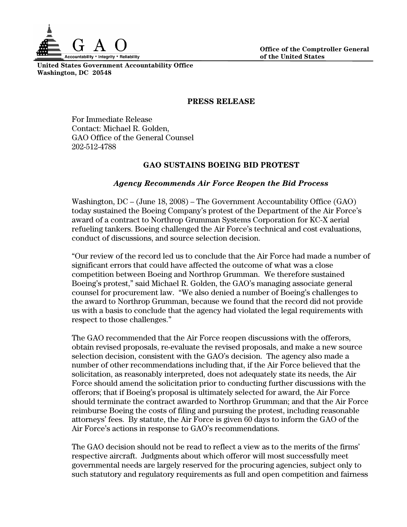

**United States Government Accountability Office Washington, DC 20548** 

## **PRESS RELEASE**

For Immediate Release Contact: Michael R. Golden, GAO Office of the General Counsel 202-512-4788

## **GAO SUSTAINS BOEING BID PROTEST**

## *Agency Recommends Air Force Reopen the Bid Process*

Washington, DC – (June 18, 2008) – The Government Accountability Office (GAO) today sustained the Boeing Company's protest of the Department of the Air Force's award of a contract to Northrop Grumman Systems Corporation for KC-X aerial refueling tankers. Boeing challenged the Air Force's technical and cost evaluations, conduct of discussions, and source selection decision.

"Our review of the record led us to conclude that the Air Force had made a number of significant errors that could have affected the outcome of what was a close competition between Boeing and Northrop Grumman. We therefore sustained Boeing's protest," said Michael R. Golden, the GAO's managing associate general counsel for procurement law. "We also denied a number of Boeing's challenges to the award to Northrop Grumman, because we found that the record did not provide us with a basis to conclude that the agency had violated the legal requirements with respect to those challenges."

The GAO recommended that the Air Force reopen discussions with the offerors, obtain revised proposals, re-evaluate the revised proposals, and make a new source selection decision, consistent with the GAO's decision. The agency also made a number of other recommendations including that, if the Air Force believed that the solicitation, as reasonably interpreted, does not adequately state its needs, the Air Force should amend the solicitation prior to conducting further discussions with the offerors; that if Boeing's proposal is ultimately selected for award, the Air Force should terminate the contract awarded to Northrop Grumman; and that the Air Force reimburse Boeing the costs of filing and pursuing the protest, including reasonable attorneys' fees. By statute, the Air Force is given 60 days to inform the GAO of the Air Force's actions in response to GAO's recommendations.

The GAO decision should not be read to reflect a view as to the merits of the firms' respective aircraft. Judgments about which offeror will most successfully meet governmental needs are largely reserved for the procuring agencies, subject only to such statutory and regulatory requirements as full and open competition and fairness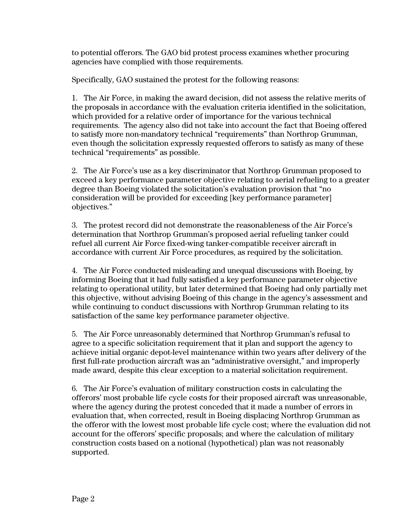to potential offerors. The GAO bid protest process examines whether procuring agencies have complied with those requirements.

Specifically, GAO sustained the protest for the following reasons:

1. The Air Force, in making the award decision, did not assess the relative merits of the proposals in accordance with the evaluation criteria identified in the solicitation, which provided for a relative order of importance for the various technical requirements. The agency also did not take into account the fact that Boeing offered to satisfy more non-mandatory technical "requirements" than Northrop Grumman, even though the solicitation expressly requested offerors to satisfy as many of these technical "requirements" as possible.

2. The Air Force's use as a key discriminator that Northrop Grumman proposed to exceed a key performance parameter objective relating to aerial refueling to a greater degree than Boeing violated the solicitation's evaluation provision that "no consideration will be provided for exceeding [key performance parameter] objectives."

3. The protest record did not demonstrate the reasonableness of the Air Force's determination that Northrop Grumman's proposed aerial refueling tanker could refuel all current Air Force fixed-wing tanker-compatible receiver aircraft in accordance with current Air Force procedures, as required by the solicitation.

4. The Air Force conducted misleading and unequal discussions with Boeing, by informing Boeing that it had fully satisfied a key performance parameter objective relating to operational utility, but later determined that Boeing had only partially met this objective, without advising Boeing of this change in the agency's assessment and while continuing to conduct discussions with Northrop Grumman relating to its satisfaction of the same key performance parameter objective.

5. The Air Force unreasonably determined that Northrop Grumman's refusal to agree to a specific solicitation requirement that it plan and support the agency to achieve initial organic depot-level maintenance within two years after delivery of the first full-rate production aircraft was an "administrative oversight," and improperly made award, despite this clear exception to a material solicitation requirement.

6. The Air Force's evaluation of military construction costs in calculating the offerors' most probable life cycle costs for their proposed aircraft was unreasonable, where the agency during the protest conceded that it made a number of errors in evaluation that, when corrected, result in Boeing displacing Northrop Grumman as the offeror with the lowest most probable life cycle cost; where the evaluation did not account for the offerors' specific proposals; and where the calculation of military construction costs based on a notional (hypothetical) plan was not reasonably supported.